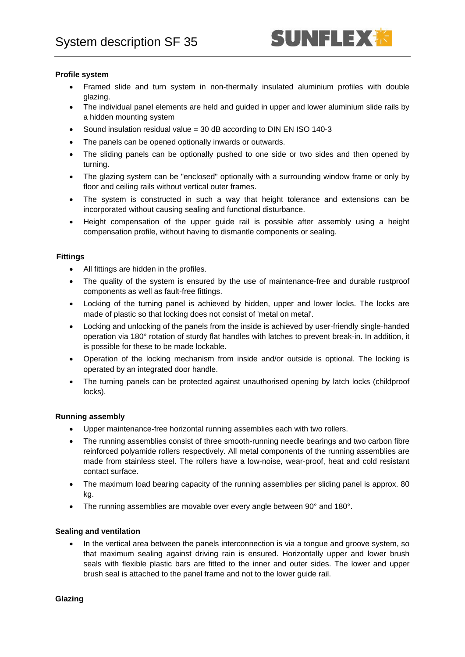## **Profile system**

- Framed slide and turn system in non-thermally insulated aluminium profiles with double glazing.
- The individual panel elements are held and guided in upper and lower aluminium slide rails by a hidden mounting system
- Sound insulation residual value = 30 dB according to DIN EN ISO 140-3
- The panels can be opened optionally inwards or outwards.
- The sliding panels can be optionally pushed to one side or two sides and then opened by turning.
- The glazing system can be "enclosed" optionally with a surrounding window frame or only by floor and ceiling rails without vertical outer frames.
- The system is constructed in such a way that height tolerance and extensions can be incorporated without causing sealing and functional disturbance.
- Height compensation of the upper guide rail is possible after assembly using a height compensation profile, without having to dismantle components or sealing.

## **Fittings**

- All fittings are hidden in the profiles.
- The quality of the system is ensured by the use of maintenance-free and durable rustproof components as well as fault-free fittings.
- Locking of the turning panel is achieved by hidden, upper and lower locks. The locks are made of plastic so that locking does not consist of 'metal on metal'.
- Locking and unlocking of the panels from the inside is achieved by user-friendly single-handed operation via 180° rotation of sturdy flat handles with latches to prevent break-in. In addition, it is possible for these to be made lockable.
- Operation of the locking mechanism from inside and/or outside is optional. The locking is operated by an integrated door handle.
- The turning panels can be protected against unauthorised opening by latch locks (childproof locks).

# **Running assembly**

- Upper maintenance-free horizontal running assemblies each with two rollers.
- The running assemblies consist of three smooth-running needle bearings and two carbon fibre reinforced polyamide rollers respectively. All metal components of the running assemblies are made from stainless steel. The rollers have a low-noise, wear-proof, heat and cold resistant contact surface.
- The maximum load bearing capacity of the running assemblies per sliding panel is approx. 80 kg.
- The running assemblies are movable over every angle between 90° and 180°.

# **Sealing and ventilation**

• In the vertical area between the panels interconnection is via a tongue and groove system, so that maximum sealing against driving rain is ensured. Horizontally upper and lower brush seals with flexible plastic bars are fitted to the inner and outer sides. The lower and upper brush seal is attached to the panel frame and not to the lower guide rail.